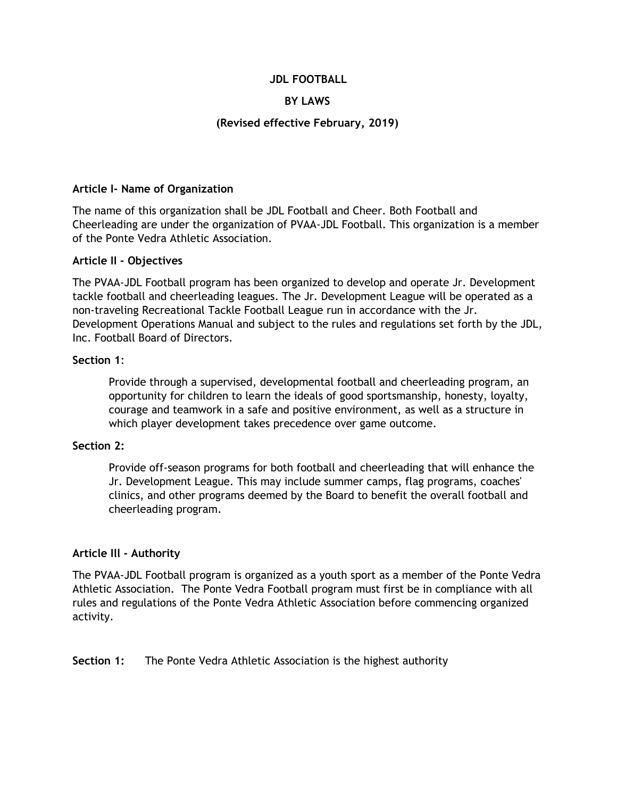#### **JDL FOOTBALL**

### **BY LAWS**

#### **(Revised effective February, 2019)**

#### **Article I- Name of Organization**

The name of this organization shall be JDL Football and Cheer. Both Football and Cheerleading are under the organization of PVAA-JDL Football. This organization is a member of the Ponte Vedra Athletic Association.

#### **Article II - Objectives**

The PVAA-JDL Football program has been organized to develop and operate Jr. Development tackle football and cheerleading leagues. The Jr. Development League will be operated as a non-traveling Recreational Tackle Football League run in accordance with the Jr. Development Operations Manual and subject to the rules and regulations set forth by the JDL, Inc. Football Board of Directors.

#### **Section 1**:

Provide through a supervised, developmental football and cheerleading program, an opportunity for children to learn the ideals of good sportsmanship, honesty, loyalty, courage and teamwork in a safe and positive environment, as well as a structure in which player development takes precedence over game outcome.

#### **Section 2:**

Provide off-season programs for both football and cheerleading that will enhance the Jr. Development League. This may include summer camps, flag programs, coaches' clinics, and other programs deemed by the Board to benefit the overall football and cheerleading program.

#### **Article Ill - Authority**

The PVAA-JDL Football program is organized as a youth sport as a member of the Ponte Vedra Athletic Association. The Ponte Vedra Football program must first be in compliance with all rules and regulations of the Ponte Vedra Athletic Association before commencing organized activity.

#### **Section 1:** The Ponte Vedra Athletic Association is the highest authority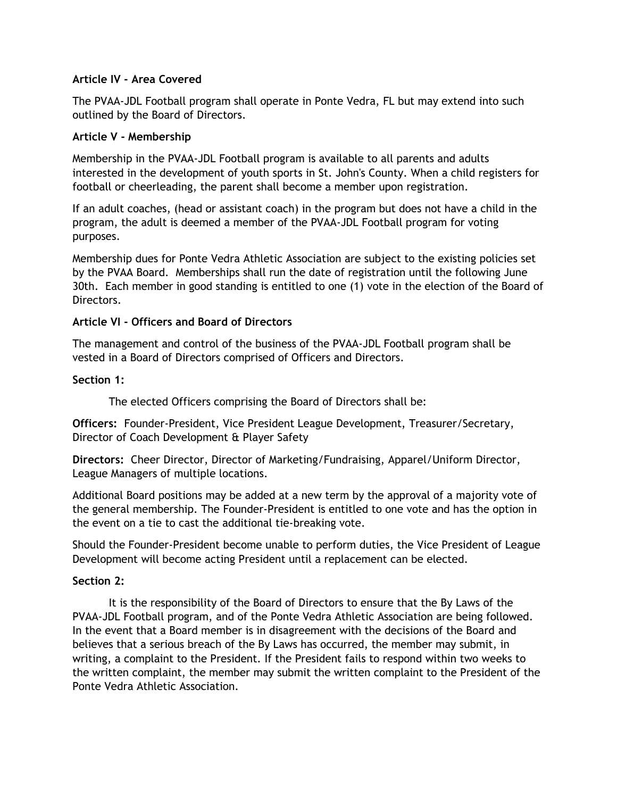### **Article IV - Area Covered**

The PVAA-JDL Football program shall operate in Ponte Vedra, FL but may extend into such outlined by the Board of Directors.

### **Article V - Membership**

Membership in the PVAA-JDL Football program is available to all parents and adults interested in the development of youth sports in St. John's County. When a child registers for football or cheerleading, the parent shall become a member upon registration.

If an adult coaches, (head or assistant coach) in the program but does not have a child in the program, the adult is deemed a member of the PVAA-JDL Football program for voting purposes.

Membership dues for Ponte Vedra Athletic Association are subject to the existing policies set by the PVAA Board. Memberships shall run the date of registration until the following June 30th. Each member in good standing is entitled to one (1) vote in the election of the Board of Directors.

## **Article VI - Officers and Board of Directors**

The management and control of the business of the PVAA-JDL Football program shall be vested in a Board of Directors comprised of Officers and Directors.

## **Section 1:**

The elected Officers comprising the Board of Directors shall be:

**Officers:** Founder-President, Vice President League Development, Treasurer/Secretary, Director of Coach Development & Player Safety

**Directors:** Cheer Director, Director of Marketing/Fundraising, Apparel/Uniform Director, League Managers of multiple locations.

Additional Board positions may be added at a new term by the approval of a majority vote of the general membership. The Founder-President is entitled to one vote and has the option in the event on a tie to cast the additional tie-breaking vote.

Should the Founder-President become unable to perform duties, the Vice President of League Development will become acting President until a replacement can be elected.

# **Section 2:**

It is the responsibility of the Board of Directors to ensure that the By Laws of the PVAA-JDL Football program, and of the Ponte Vedra Athletic Association are being followed. In the event that a Board member is in disagreement with the decisions of the Board and believes that a serious breach of the By Laws has occurred, the member may submit, in writing, a complaint to the President. If the President fails to respond within two weeks to the written complaint, the member may submit the written complaint to the President of the Ponte Vedra Athletic Association.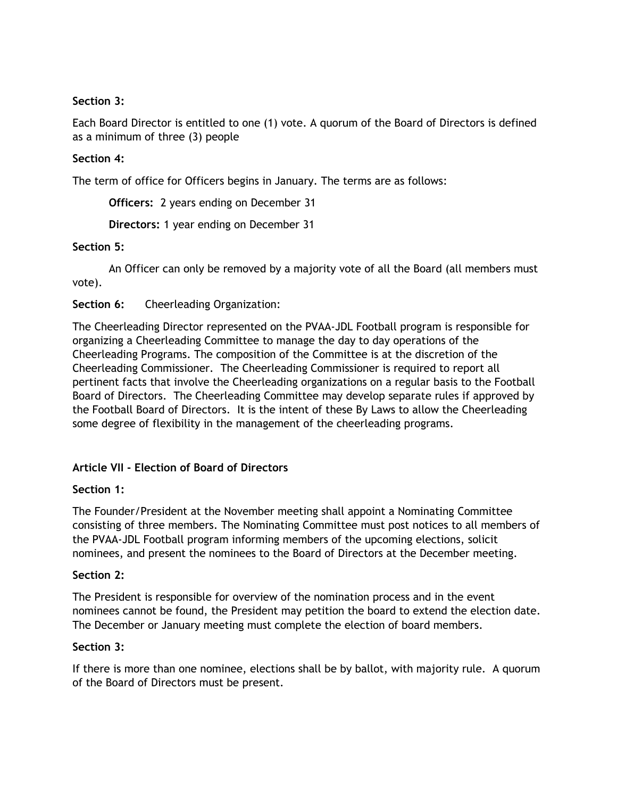## **Section 3:**

Each Board Director is entitled to one (1) vote. A quorum of the Board of Directors is defined as a minimum of three (3) people

# **Section 4:**

The term of office for Officers begins in January. The terms are as follows:

**Officers:** 2 years ending on December 31

**Directors:** 1 year ending on December 31

### **Section 5:**

An Officer can only be removed by a majority vote of all the Board (all members must vote).

**Section 6:** Cheerleading Organization:

The Cheerleading Director represented on the PVAA-JDL Football program is responsible for organizing a Cheerleading Committee to manage the day to day operations of the Cheerleading Programs. The composition of the Committee is at the discretion of the Cheerleading Commissioner. The Cheerleading Commissioner is required to report all pertinent facts that involve the Cheerleading organizations on a regular basis to the Football Board of Directors. The Cheerleading Committee may develop separate rules if approved by the Football Board of Directors. It is the intent of these By Laws to allow the Cheerleading some degree of flexibility in the management of the cheerleading programs.

### **Article VII - Election of Board of Directors**

### **Section 1:**

The Founder/President at the November meeting shall appoint a Nominating Committee consisting of three members. The Nominating Committee must post notices to all members of the PVAA-JDL Football program informing members of the upcoming elections, solicit nominees, and present the nominees to the Board of Directors at the December meeting.

### **Section 2:**

The President is responsible for overview of the nomination process and in the event nominees cannot be found, the President may petition the board to extend the election date. The December or January meeting must complete the election of board members.

### **Section 3:**

If there is more than one nominee, elections shall be by ballot, with majority rule. A quorum of the Board of Directors must be present.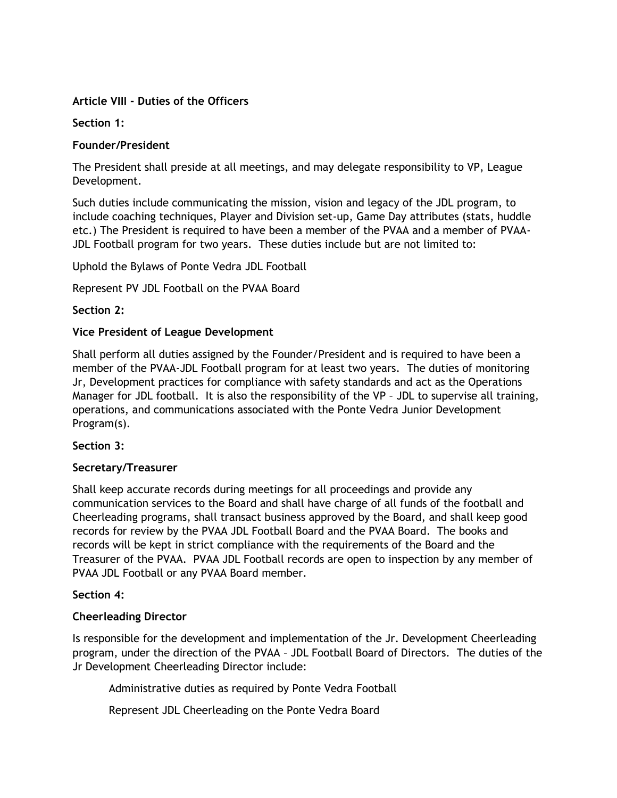# **Article VIII - Duties of the Officers**

**Section 1:**

## **Founder/President**

The President shall preside at all meetings, and may delegate responsibility to VP, League Development.

Such duties include communicating the mission, vision and legacy of the JDL program, to include coaching techniques, Player and Division set-up, Game Day attributes (stats, huddle etc.) The President is required to have been a member of the PVAA and a member of PVAA-JDL Football program for two years. These duties include but are not limited to:

Uphold the Bylaws of Ponte Vedra JDL Football

Represent PV JDL Football on the PVAA Board

**Section 2:**

## **Vice President of League Development**

Shall perform all duties assigned by the Founder/President and is required to have been a member of the PVAA-JDL Football program for at least two years. The duties of monitoring Jr, Development practices for compliance with safety standards and act as the Operations Manager for JDL football. It is also the responsibility of the VP – JDL to supervise all training, operations, and communications associated with the Ponte Vedra Junior Development Program(s).

**Section 3:**

# **Secretary/Treasurer**

Shall keep accurate records during meetings for all proceedings and provide any communication services to the Board and shall have charge of all funds of the football and Cheerleading programs, shall transact business approved by the Board, and shall keep good records for review by the PVAA JDL Football Board and the PVAA Board. The books and records will be kept in strict compliance with the requirements of the Board and the Treasurer of the PVAA. PVAA JDL Football records are open to inspection by any member of PVAA JDL Football or any PVAA Board member.

### **Section 4:**

### **Cheerleading Director**

Is responsible for the development and implementation of the Jr. Development Cheerleading program, under the direction of the PVAA – JDL Football Board of Directors. The duties of the Jr Development Cheerleading Director include:

Administrative duties as required by Ponte Vedra Football

Represent JDL Cheerleading on the Ponte Vedra Board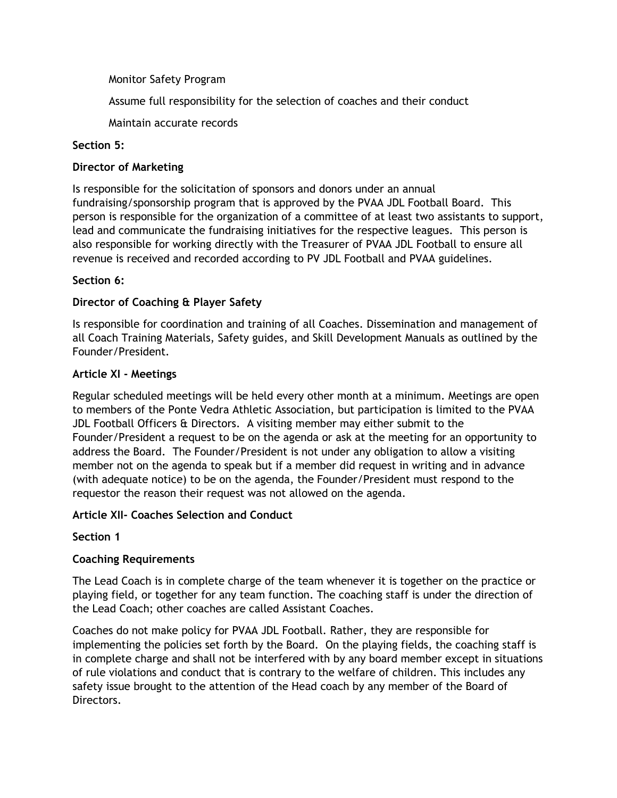Monitor Safety Program

Assume full responsibility for the selection of coaches and their conduct

Maintain accurate records

# **Section 5:**

# **Director of Marketing**

Is responsible for the solicitation of sponsors and donors under an annual fundraising/sponsorship program that is approved by the PVAA JDL Football Board. This person is responsible for the organization of a committee of at least two assistants to support, lead and communicate the fundraising initiatives for the respective leagues. This person is also responsible for working directly with the Treasurer of PVAA JDL Football to ensure all revenue is received and recorded according to PV JDL Football and PVAA guidelines.

# **Section 6:**

# **Director of Coaching & Player Safety**

Is responsible for coordination and training of all Coaches. Dissemination and management of all Coach Training Materials, Safety guides, and Skill Development Manuals as outlined by the Founder/President.

# **Article XI - Meetings**

Regular scheduled meetings will be held every other month at a minimum. Meetings are open to members of the Ponte Vedra Athletic Association, but participation is limited to the PVAA JDL Football Officers & Directors. A visiting member may either submit to the Founder/President a request to be on the agenda or ask at the meeting for an opportunity to address the Board. The Founder/President is not under any obligation to allow a visiting member not on the agenda to speak but if a member did request in writing and in advance (with adequate notice) to be on the agenda, the Founder/President must respond to the requestor the reason their request was not allowed on the agenda.

# **Article XII- Coaches Selection and Conduct**

**Section 1**

# **Coaching Requirements**

The Lead Coach is in complete charge of the team whenever it is together on the practice or playing field, or together for any team function. The coaching staff is under the direction of the Lead Coach; other coaches are called Assistant Coaches.

Coaches do not make policy for PVAA JDL Football. Rather, they are responsible for implementing the policies set forth by the Board. On the playing fields, the coaching staff is in complete charge and shall not be interfered with by any board member except in situations of rule violations and conduct that is contrary to the welfare of children. This includes any safety issue brought to the attention of the Head coach by any member of the Board of Directors.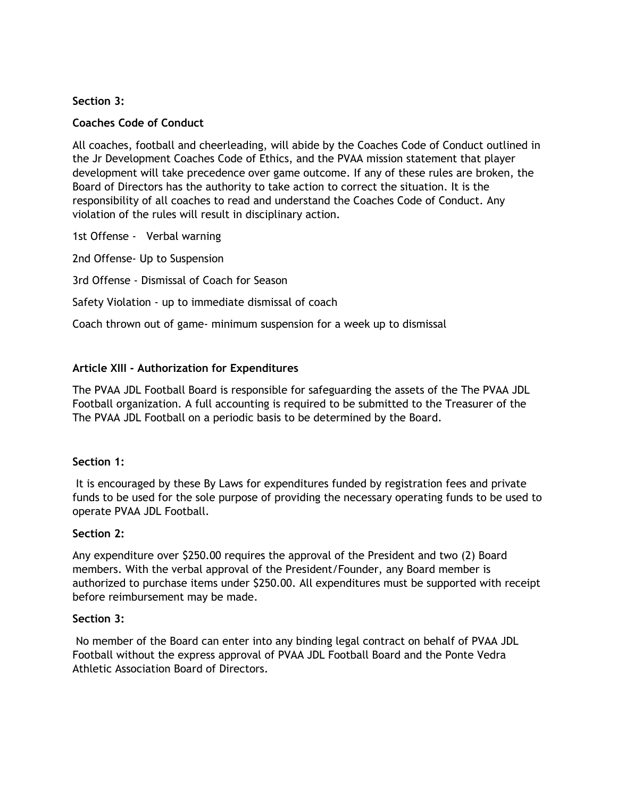### **Section 3:**

# **Coaches Code of Conduct**

All coaches, football and cheerleading, will abide by the Coaches Code of Conduct outlined in the Jr Development Coaches Code of Ethics, and the PVAA mission statement that player development will take precedence over game outcome. If any of these rules are broken, the Board of Directors has the authority to take action to correct the situation. It is the responsibility of all coaches to read and understand the Coaches Code of Conduct. Any violation of the rules will result in disciplinary action.

1st Offense - Verbal warning

2nd Offense- Up to Suspension

3rd Offense - Dismissal of Coach for Season

## Safety Violation - up to immediate dismissal of coach

Coach thrown out of game- minimum suspension for a week up to dismissal

## **Article XIII - Authorization for Expenditures**

The PVAA JDL Football Board is responsible for safeguarding the assets of the The PVAA JDL Football organization. A full accounting is required to be submitted to the Treasurer of the The PVAA JDL Football on a periodic basis to be determined by the Board.

### **Section 1:**

It is encouraged by these By Laws for expenditures funded by registration fees and private funds to be used for the sole purpose of providing the necessary operating funds to be used to operate PVAA JDL Football.

### **Section 2:**

Any expenditure over \$250.00 requires the approval of the President and two (2) Board members. With the verbal approval of the President/Founder, any Board member is authorized to purchase items under \$250.00. All expenditures must be supported with receipt before reimbursement may be made.

#### **Section 3:**

No member of the Board can enter into any binding legal contract on behalf of PVAA JDL Football without the express approval of PVAA JDL Football Board and the Ponte Vedra Athletic Association Board of Directors.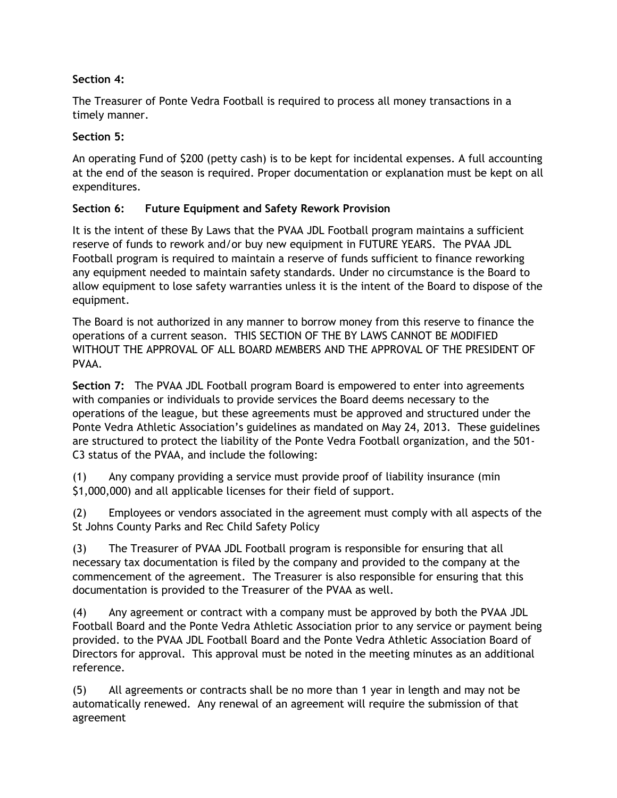# **Section 4:**

The Treasurer of Ponte Vedra Football is required to process all money transactions in a timely manner.

# **Section 5:**

An operating Fund of \$200 (petty cash) is to be kept for incidental expenses. A full accounting at the end of the season is required. Proper documentation or explanation must be kept on all expenditures.

# **Section 6: Future Equipment and Safety Rework Provision**

It is the intent of these By Laws that the PVAA JDL Football program maintains a sufficient reserve of funds to rework and/or buy new equipment in FUTURE YEARS. The PVAA JDL Football program is required to maintain a reserve of funds sufficient to finance reworking any equipment needed to maintain safety standards. Under no circumstance is the Board to allow equipment to lose safety warranties unless it is the intent of the Board to dispose of the equipment.

The Board is not authorized in any manner to borrow money from this reserve to finance the operations of a current season. THIS SECTION OF THE BY LAWS CANNOT BE MODIFIED WITHOUT THE APPROVAL OF ALL BOARD MEMBERS AND THE APPROVAL OF THE PRESIDENT OF PVAA.

**Section 7:** The PVAA JDL Football program Board is empowered to enter into agreements with companies or individuals to provide services the Board deems necessary to the operations of the league, but these agreements must be approved and structured under the Ponte Vedra Athletic Association's guidelines as mandated on May 24, 2013. These guidelines are structured to protect the liability of the Ponte Vedra Football organization, and the 501- C3 status of the PVAA, and include the following:

(1) Any company providing a service must provide proof of liability insurance (min \$1,000,000) and all applicable licenses for their field of support.

(2) Employees or vendors associated in the agreement must comply with all aspects of the St Johns County Parks and Rec Child Safety Policy

(3) The Treasurer of PVAA JDL Football program is responsible for ensuring that all necessary tax documentation is filed by the company and provided to the company at the commencement of the agreement. The Treasurer is also responsible for ensuring that this documentation is provided to the Treasurer of the PVAA as well.

(4) Any agreement or contract with a company must be approved by both the PVAA JDL Football Board and the Ponte Vedra Athletic Association prior to any service or payment being provided. to the PVAA JDL Football Board and the Ponte Vedra Athletic Association Board of Directors for approval. This approval must be noted in the meeting minutes as an additional reference.

(5) All agreements or contracts shall be no more than 1 year in length and may not be automatically renewed. Any renewal of an agreement will require the submission of that agreement